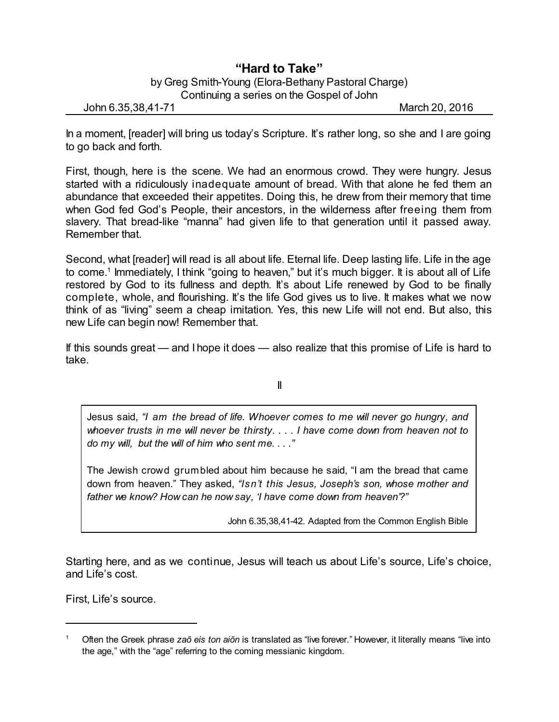## **"Hard to Take"**

by Greg Smith-Young (Elora-Bethany Pastoral Charge) Continuing a series on the Gospel of John

John 6.35,38,41-71 March 20, 2016

In a moment, [reader] will bring us today's Scripture. It's rather long, so she and I are going to go back and forth.

First, though, here is the scene. We had an enormous crowd. They were hungry. Jesus started with a ridiculously inadequate amount of bread. With that alone he fed them an abundance that exceeded their appetites. Doing this, he drew from their memory that time when God fed God's People, their ancestors, in the wilderness after freeing them from slavery. That bread-like "manna" had given life to that generation until it passed away. Remember that.

Second, what [reader] will read is all about life. Eternal life. Deep lasting life. Life in the age to come.<sup>1</sup> Immediately, I think "going to heaven," but it's much bigger. It is about all of Life restored by God to its fullness and depth. It's about Life renewed by God to be finally complete, whole, and flourishing. It's the life God gives us to live. It makes what we now think of as "living" seem a cheap imitation. Yes, this new Life will not end. But also, this new Life can begin now! Remember that.

If this sounds great — and I hope it does — also realize that this promise of Life is hard to take.

II

Jesus said, *"I am the bread of life. Whoever comes to me will never go hungry, and whoever trusts in me will never be thirsty. . . . I have come down from heaven not to do my will, but the will of him who sent me. . . ."*

The Jewish crowd grumbled about him because he said, "I am the bread that came down from heaven." They asked, *"Isn't this Jesus, Joseph's son, whose mother and father we know? How can he now say, 'I have come down from heaven'?"*

John 6.35,38,41-42. Adapted from the Common English Bible

Starting here, and as we continue, Jesus will teach us about Life's source, Life's choice, and Life's cost.

First, Life's source.

<sup>1</sup> Often the Greek phrase *zaô eis ton aiôn* is translated as "live forever." However, it literally means "live into the age," with the "age" referring to the coming messianic kingdom.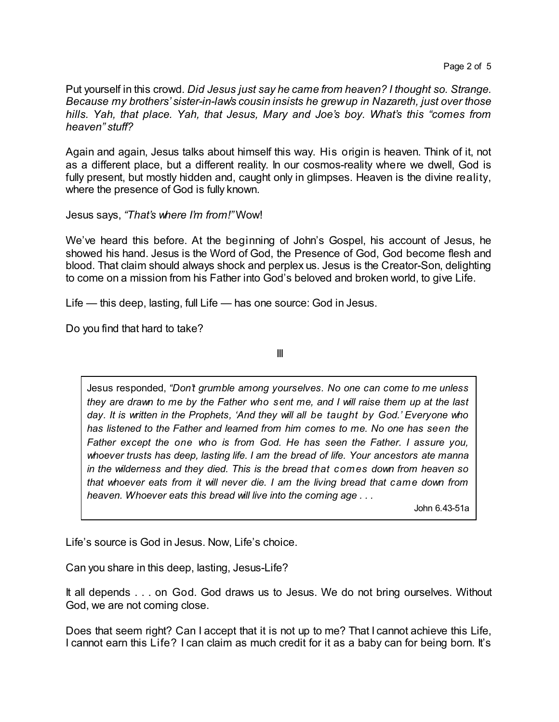Put yourself in this crowd. *Did Jesus just say he came from heaven? I thought so. Strange. Because my brothers' sister-in-law's cousin insists he grewup in Nazareth, just over those hills. Yah, that place. Yah, that Jesus, Mary and Joe's boy. What's this "comes from heaven" stuff?* 

Again and again, Jesus talks about himself this way. His origin is heaven. Think of it, not as a different place, but a different reality. In our cosmos-reality where we dwell, God is fully present, but mostly hidden and, caught only in glimpses. Heaven is the divine reality, where the presence of God is fully known.

Jesus says, *"That's where I'm from!"* Wow!

We've heard this before. At the beginning of John's Gospel, his account of Jesus, he showed his hand. Jesus is the Word of God, the Presence of God, God become flesh and blood. That claim should always shock and perplex us. Jesus is the Creator-Son, delighting to come on a mission from his Father into God's beloved and broken world, to give Life.

Life — this deep, lasting, full Life — has one source: God in Jesus.

Do you find that hard to take?

III

Jesus responded, *"Don't grumble among yourselves. No one can come to me unless they are drawn to me by the Father who sent me, and I will raise them up at the last day. It is written in the Prophets, 'And they will all be taught by God.' Everyone who has listened to the Father and learned from him comes to me. No one has seen the Father except the one who is from God. He has seen the Father. I assure you, whoever trusts has deep, lasting life. I am the bread of life. Your ancestors ate manna in the wilderness and they died. This is the bread that comes down from heaven so that whoever eats from it will never die. I am the living bread that came down from heaven. Whoever eats this bread will live into the coming age . . .*

John 6.43-51a

Life's source is God in Jesus. Now, Life's choice.

Can you share in this deep, lasting, Jesus-Life?

It all depends . . . on God. God draws us to Jesus. We do not bring ourselves. Without God, we are not coming close.

Does that seem right? Can I accept that it is not up to me? That I cannot achieve this Life, I cannot earn this Life? I can claim as much credit for it as a baby can for being born. It's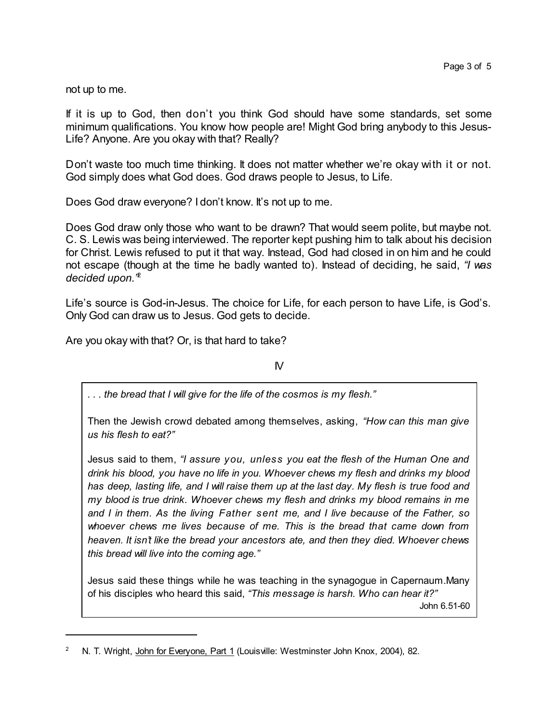not up to me.

If it is up to God, then don't you think God should have some standards, set some minimum qualifications. You know how people are! Might God bring anybody to this Jesus-Life? Anyone. Are you okay with that? Really?

Don't waste too much time thinking. It does not matter whether we're okay with it or not. God simply does what God does. God draws people to Jesus, to Life.

Does God draw everyone? I don't know. It's not up to me.

Does God draw only those who want to be drawn? That would seem polite, but maybe not. C. S. Lewis was being interviewed. The reporter kept pushing him to talk about his decision for Christ. Lewis refused to put it that way. Instead, God had closed in on him and he could not escape (though at the time he badly wanted to). Instead of deciding, he said, *"I was decided upon."* 2

Life's source is God-in-Jesus. The choice for Life, for each person to have Life, is God's. Only God can draw us to Jesus. God gets to decide.

Are you okay with that? Or, is that hard to take?

 $\mathsf{N}$ 

*. . . the bread that I will give for the life of the cosmos is my flesh."*

Then the Jewish crowd debated among themselves, asking, *"How can this man give us his flesh to eat?"*

Jesus said to them, *"I assure you, unless you eat the flesh of the Human One and drink his blood, you have no life in you. Whoever chews my flesh and drinks my blood* has deep, lasting life, and I will raise them up at the last day. My flesh is true food and *my blood is true drink. Whoever chews my flesh and drinks my blood remains in me and I in them. As the living Father sent me, and I live because of the Father, so whoever chews me lives because of me. This is the bread that came down from heaven. It isn't like the bread your ancestors ate, and then they died. Whoever chews this bread will live into the coming age."*

Jesus said these things while he was teaching in the synagogue in Capernaum.Many of his disciples who heard this said, *"This message is harsh. Who can hear it?"* John 6.51-60

N. T. Wright, John for Everyone, Part 1 (Louisville: Westminster John Knox, 2004), 82.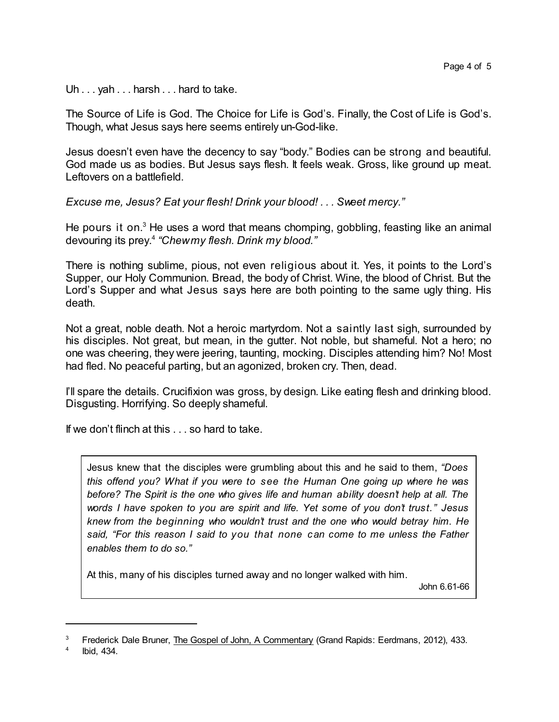Uh . . . yah . . . harsh . . . hard to take.

The Source of Life is God. The Choice for Life is God's. Finally, the Cost of Life is God's. Though, what Jesus says here seems entirely un-God-like.

Jesus doesn't even have the decency to say "body." Bodies can be strong and beautiful. God made us as bodies. But Jesus says flesh. It feels weak. Gross, like ground up meat. Leftovers on a battlefield.

*Excuse me, Jesus? Eat your flesh! Drink your blood! . . . Sweet mercy."*

He pours it on. $3$  He uses a word that means chomping, gobbling, feasting like an animal devouring its prey. 4 *"Chewmy flesh. Drink my blood."*

There is nothing sublime, pious, not even religious about it. Yes, it points to the Lord's Supper, our Holy Communion. Bread, the body of Christ. Wine, the blood of Christ. But the Lord's Supper and what Jesus says here are both pointing to the same ugly thing. His death.

Not a great, noble death. Not a heroic martyrdom. Not a saintly last sigh, surrounded by his disciples. Not great, but mean, in the gutter. Not noble, but shameful. Not a hero; no one was cheering, they were jeering, taunting, mocking. Disciples attending him? No! Most had fled. No peaceful parting, but an agonized, broken cry. Then, dead.

I'll spare the details. Crucifixion was gross, by design. Like eating flesh and drinking blood. Disgusting. Horrifying. So deeply shameful.

If we don't flinch at this . . . so hard to take.

Jesus knew that the disciples were grumbling about this and he said to them, *"Does this offend you? What if you were to see the Human One going up where he was before? The Spirit is the one who gives life and human ability doesn't help at all. The words I have spoken to you are spirit and life. Yet some of you don't trust." Jesus knew from the beginning who wouldn't trust and the one who would betray him. He said, "For this reason I said to you that none can come to me unless the Father enables them to do so."*

At this, many of his disciples turned away and no longer walked with him.

John 6.61-66

<sup>3</sup> Frederick Dale Bruner, The Gospel of John, A Commentary (Grand Rapids: Eerdmans, 2012), 433.

<sup>4</sup> Ibid, 434.